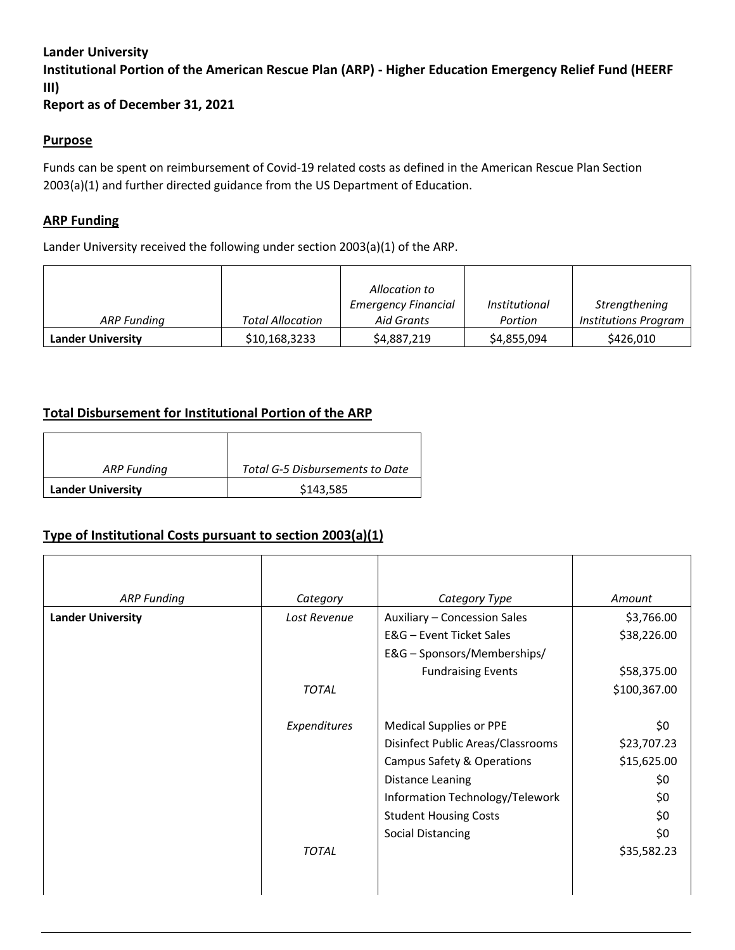### **Lander University**

**Institutional Portion of the American Rescue Plan (ARP) - Higher Education Emergency Relief Fund (HEERF III)**

**Report as of December 31, 2021**

#### **Purpose**

Funds can be spent on reimbursement of Covid-19 related costs as defined in the American Rescue Plan Section 2003(a)(1) and further directed guidance from the US Department of Education.

### **ARP Funding**

Lander University received the following under section 2003(a)(1) of the ARP.

|                          |                         | Allocation to                            |                                 |                                       |
|--------------------------|-------------------------|------------------------------------------|---------------------------------|---------------------------------------|
| ARP Funding              | <b>Total Allocation</b> | <b>Emergency Financial</b><br>Aid Grants | <i>Institutional</i><br>Portion | Strengthening<br>Institutions Program |
| <b>Lander University</b> | \$10,168,3233           | \$4,887,219                              | \$4,855,094                     | \$426,010                             |

## **Total Disbursement for Institutional Portion of the ARP**

| ARP Funding              | Total G-5 Disbursements to Date |  |
|--------------------------|---------------------------------|--|
| <b>Lander University</b> | \$143,585                       |  |

## **Type of Institutional Costs pursuant to section 2003(a)(1)**

| <b>ARP Funding</b>       | Category     | Category Type                     | Amount       |
|--------------------------|--------------|-----------------------------------|--------------|
| <b>Lander University</b> | Lost Revenue | Auxiliary - Concession Sales      | \$3,766.00   |
|                          |              | E&G - Event Ticket Sales          | \$38,226.00  |
|                          |              | E&G - Sponsors/Memberships/       |              |
|                          |              | <b>Fundraising Events</b>         | \$58,375.00  |
|                          | <b>TOTAL</b> |                                   | \$100,367.00 |
|                          |              |                                   |              |
|                          | Expenditures | <b>Medical Supplies or PPE</b>    | \$0          |
|                          |              | Disinfect Public Areas/Classrooms | \$23,707.23  |
|                          |              | Campus Safety & Operations        | \$15,625.00  |
|                          |              | Distance Leaning                  | \$0          |
|                          |              | Information Technology/Telework   | \$0          |
|                          |              | <b>Student Housing Costs</b>      | \$0          |
|                          |              | <b>Social Distancing</b>          | \$0          |
|                          | <b>TOTAL</b> |                                   | \$35,582.23  |
|                          |              |                                   |              |
|                          |              |                                   |              |